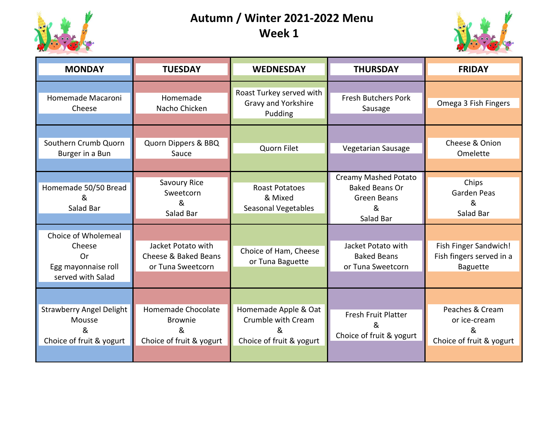

## **Autumn / Winter 2021-2022 Menu Week 1**



| <b>MONDAY</b>                                                                   | <b>TUESDAY</b>                                                        | <b>WEDNESDAY</b>                                                             | <b>THURSDAY</b>                                                                | <b>FRIDAY</b>                                                        |
|---------------------------------------------------------------------------------|-----------------------------------------------------------------------|------------------------------------------------------------------------------|--------------------------------------------------------------------------------|----------------------------------------------------------------------|
| Homemade Macaroni<br>Cheese                                                     | Homemade<br>Nacho Chicken                                             | Roast Turkey served with<br>Gravy and Yorkshire<br>Pudding                   | <b>Fresh Butchers Pork</b><br>Sausage                                          | Omega 3 Fish Fingers                                                 |
| Southern Crumb Quorn<br>Burger in a Bun                                         | Quorn Dippers & BBQ<br>Sauce                                          | Quorn Filet                                                                  | Vegetarian Sausage                                                             | Cheese & Onion<br>Omelette                                           |
| Homemade 50/50 Bread<br>&<br>Salad Bar                                          | Savoury Rice<br>Sweetcorn<br>&<br>Salad Bar                           | <b>Roast Potatoes</b><br>& Mixed<br><b>Seasonal Vegetables</b>               | Creamy Mashed Potato<br><b>Baked Beans Or</b><br>Green Beans<br>&<br>Salad Bar | Chips<br>Garden Peas<br>&<br>Salad Bar                               |
| Choice of Wholemeal<br>Cheese<br>Or<br>Egg mayonnaise roll<br>served with Salad | Jacket Potato with<br>Cheese & Baked Beans<br>or Tuna Sweetcorn       | Choice of Ham, Cheese<br>or Tuna Baguette                                    | Jacket Potato with<br><b>Baked Beans</b><br>or Tuna Sweetcorn                  | Fish Finger Sandwich!<br>Fish fingers served in a<br><b>Baguette</b> |
| <b>Strawberry Angel Delight</b><br>Mousse<br>&<br>Choice of fruit & yogurt      | Homemade Chocolate<br><b>Brownie</b><br>&<br>Choice of fruit & yogurt | Homemade Apple & Oat<br>Crumble with Cream<br>ጼ.<br>Choice of fruit & yogurt | <b>Fresh Fruit Platter</b><br>&<br>Choice of fruit & yogurt                    | Peaches & Cream<br>or ice-cream<br>&<br>Choice of fruit & yogurt     |